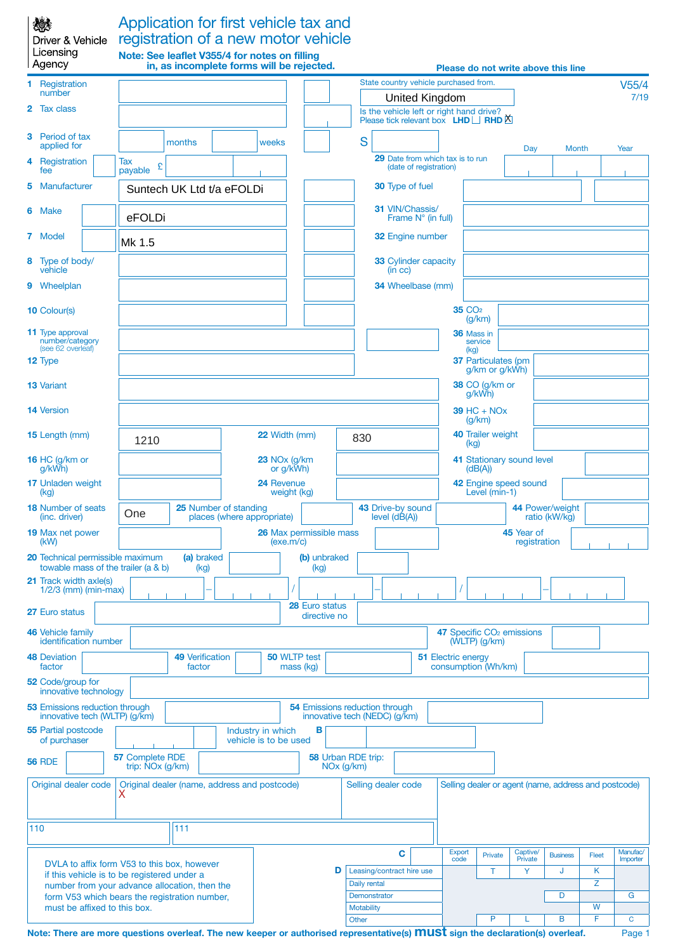| 戀<br>Driver & Vehicle<br>Licensing<br>Agency                                                   |                                                       | Application for first vehicle tax and<br>registration of a new motor vehicle<br>Note: See leaflet V355/4 for notes on filling<br>in, as incomplete forms will be rejected. |                                            |             |                                  |              |                                                                                            |                                        |                                      |                                                      |                                       | Please do not write above this line                  |       |               |
|------------------------------------------------------------------------------------------------|-------------------------------------------------------|----------------------------------------------------------------------------------------------------------------------------------------------------------------------------|--------------------------------------------|-------------|----------------------------------|--------------|--------------------------------------------------------------------------------------------|----------------------------------------|--------------------------------------|------------------------------------------------------|---------------------------------------|------------------------------------------------------|-------|---------------|
|                                                                                                |                                                       |                                                                                                                                                                            |                                            |             |                                  |              | State country vehicle purchased from.                                                      |                                        |                                      |                                                      |                                       |                                                      |       |               |
| Registration<br>number                                                                         |                                                       |                                                                                                                                                                            |                                            |             |                                  |              |                                                                                            |                                        | <b>United Kingdom</b>                |                                                      |                                       |                                                      |       | V55/4<br>7/19 |
| 2 Tax class                                                                                    |                                                       |                                                                                                                                                                            |                                            |             |                                  |              | Is the vehicle left or right hand drive?<br>Please tick relevant box $LHD \Box$ RHD $\Box$ |                                        |                                      |                                                      |                                       |                                                      |       |               |
| Period of tax<br>3<br>applied for                                                              |                                                       | months                                                                                                                                                                     |                                            | weeks       |                                  |              | S                                                                                          |                                        |                                      |                                                      | Day                                   | <b>Month</b>                                         |       | Year          |
| Registration<br>4<br>fee                                                                       | Tax<br>£<br>payable                                   |                                                                                                                                                                            |                                            |             |                                  |              | <b>29</b> Date from which tax is to run                                                    | (date of registration)                 |                                      |                                                      |                                       |                                                      |       |               |
| Manufacturer<br>5                                                                              |                                                       | Suntech UK Ltd t/a eFOLDi                                                                                                                                                  |                                            |             |                                  |              | <b>30</b> Type of fuel                                                                     |                                        |                                      |                                                      |                                       |                                                      |       |               |
| 6 Make                                                                                         | eFOLDi                                                |                                                                                                                                                                            |                                            |             |                                  |              | 31 VIN/Chassis/<br>Frame N° (in full)                                                      |                                        |                                      |                                                      |                                       |                                                      |       |               |
| 7 Model                                                                                        | Mk 1.5                                                |                                                                                                                                                                            |                                            |             |                                  |              | 32 Engine number                                                                           |                                        |                                      |                                                      |                                       |                                                      |       |               |
| Type of body/<br>8<br>vehicle                                                                  |                                                       |                                                                                                                                                                            |                                            |             |                                  |              | <b>33 Cylinder capacity</b><br>(in cc)                                                     |                                        |                                      |                                                      |                                       |                                                      |       |               |
| 9 Wheelplan                                                                                    |                                                       |                                                                                                                                                                            |                                            |             |                                  |              | 34 Wheelbase (mm)                                                                          |                                        |                                      |                                                      |                                       |                                                      |       |               |
| <b>10 Colour(s)</b>                                                                            |                                                       |                                                                                                                                                                            |                                            |             |                                  |              |                                                                                            |                                        |                                      | <b>35 CO<sub>2</sub></b><br>(g/km)                   |                                       |                                                      |       |               |
| <b>11</b> Type approval<br>number/category                                                     |                                                       |                                                                                                                                                                            |                                            |             |                                  |              |                                                                                            |                                        |                                      | 36 Mass in<br>service                                |                                       |                                                      |       |               |
| (see 62 overleaf)<br>12 Type                                                                   |                                                       |                                                                                                                                                                            |                                            |             |                                  |              |                                                                                            |                                        |                                      | (kg)<br><b>37 Particulates (pm</b><br>g/km or g/kWh) |                                       |                                                      |       |               |
| <b>13 Variant</b>                                                                              |                                                       |                                                                                                                                                                            |                                            |             |                                  |              |                                                                                            |                                        |                                      | 38 CO (g/km or<br>g/kWh)                             |                                       |                                                      |       |               |
| <b>14 Version</b>                                                                              |                                                       |                                                                                                                                                                            |                                            |             |                                  |              |                                                                                            |                                        |                                      | $39$ HC + NO <sub>x</sub><br>(g/km)                  |                                       |                                                      |       |               |
| <b>15</b> Length (mm)                                                                          | 1210                                                  | <b>22 Width (mm)</b>                                                                                                                                                       |                                            |             |                                  |              | <b>40 Trailer weight</b><br>830<br>(kg)                                                    |                                        |                                      |                                                      |                                       |                                                      |       |               |
| 16 HC (g/km or<br>g/kWh)                                                                       |                                                       | 23 NO <sub>x</sub> (g/km)<br>or g/kWh)                                                                                                                                     |                                            |             |                                  |              |                                                                                            |                                        | 41 Stationary sound level<br>(dB(A)) |                                                      |                                       |                                                      |       |               |
| 17 Unladen weight<br>(kg)                                                                      | 24 Revenue                                            |                                                                                                                                                                            |                                            | weight (kg) |                                  |              |                                                                                            | 42 Engine speed sound<br>Level (min-1) |                                      |                                                      |                                       |                                                      |       |               |
| <b>18 Number of seats</b><br>(inc. driver)                                                     | One                                                   | 25 Number of standing                                                                                                                                                      | places (where appropriate)                 |             |                                  |              | 43 Drive-by sound<br>$level (d\tilde{B}(A))$                                               |                                        |                                      |                                                      |                                       | 44 Power/weight<br>ratio (kW/kg)                     |       |               |
| <b>19 Max net power</b><br>(kW)                                                                |                                                       |                                                                                                                                                                            |                                            | (exe.m/c)   | <b>26 Max permissible mass</b>   |              |                                                                                            |                                        |                                      |                                                      | 45 Year of<br>registration            |                                                      |       |               |
| 20 Technical permissible maximum<br>towable mass of the trailer (a & b)                        |                                                       | (a) braked<br>(kg)                                                                                                                                                         |                                            |             | (b) unbraked<br>(kg)             |              |                                                                                            |                                        |                                      |                                                      |                                       |                                                      |       |               |
| 21 Track width axle(s)<br>$1/2/3$ (mm) (min-max)                                               |                                                       |                                                                                                                                                                            |                                            |             |                                  |              |                                                                                            |                                        |                                      |                                                      |                                       |                                                      |       |               |
| 27 Euro status                                                                                 |                                                       |                                                                                                                                                                            |                                            |             | 28 Euro status<br>directive no   |              |                                                                                            |                                        |                                      |                                                      |                                       |                                                      |       |               |
| 46 Vehicle family<br>identification number                                                     |                                                       |                                                                                                                                                                            |                                            |             |                                  |              |                                                                                            |                                        |                                      | $(WLTP)$ (g/km)                                      | 47 Specific CO <sub>2</sub> emissions |                                                      |       |               |
| <b>48 Deviation</b><br>factor                                                                  |                                                       | <b>49 Verification</b><br>factor                                                                                                                                           |                                            |             | <b>50 WLTP test</b><br>mass (kg) |              |                                                                                            |                                        | <b>51 Electric energy</b>            | consumption (Wh/km)                                  |                                       |                                                      |       |               |
| 52 Code/group for<br>innovative technology                                                     |                                                       |                                                                                                                                                                            |                                            |             |                                  |              |                                                                                            |                                        |                                      |                                                      |                                       |                                                      |       |               |
| <b>53 Emissions reduction through</b><br>innovative tech (WLTP) (g/km)                         |                                                       |                                                                                                                                                                            |                                            |             |                                  |              | <b>54 Emissions reduction through</b><br>innovative tech (NEDC) (g/km)                     |                                        |                                      |                                                      |                                       |                                                      |       |               |
| <b>55 Partial postcode</b><br>of purchaser                                                     |                                                       |                                                                                                                                                                            | Industry in which<br>vehicle is to be used |             | в                                |              |                                                                                            |                                        |                                      |                                                      |                                       |                                                      |       |               |
| <b>56 RDE</b>                                                                                  | 57 Complete RDE<br>trip: $\overline{N}$ Ox ( $g$ /km) |                                                                                                                                                                            |                                            |             |                                  | $NOx$ (g/km) | 58 Urban RDE trip:                                                                         |                                        |                                      |                                                      |                                       |                                                      |       |               |
| Original dealer code                                                                           |                                                       | Original dealer (name, address and postcode)                                                                                                                               |                                            |             |                                  |              | Selling dealer code                                                                        |                                        |                                      |                                                      |                                       | Selling dealer or agent (name, address and postcode) |       |               |
| 110                                                                                            |                                                       | 111                                                                                                                                                                        |                                            |             |                                  |              |                                                                                            |                                        |                                      |                                                      |                                       |                                                      |       |               |
|                                                                                                |                                                       |                                                                                                                                                                            |                                            |             |                                  |              | C                                                                                          |                                        | <b>Export</b>                        | Private                                              | Captive/                              | <b>Business</b>                                      | Fleet | Manufac/      |
| DVLA to affix form V53 to this box, however                                                    |                                                       |                                                                                                                                                                            |                                            |             |                                  | D            | Leasing/contract hire use                                                                  |                                        | code                                 | T                                                    | Private<br>Y                          | J                                                    | K     | Importer      |
| if this vehicle is to be registered under a                                                    |                                                       |                                                                                                                                                                            |                                            |             |                                  |              | Daily rental                                                                               |                                        |                                      |                                                      |                                       |                                                      | Ζ     |               |
| number from your advance allocation, then the<br>form V53 which bears the registration number, |                                                       |                                                                                                                                                                            |                                            |             |                                  | Demonstrator |                                                                                            |                                        |                                      |                                                      | D                                     |                                                      | G     |               |
| must be affixed to this box.                                                                   |                                                       |                                                                                                                                                                            |                                            |             |                                  |              | <b>Motability</b>                                                                          |                                        |                                      |                                                      |                                       |                                                      | W     |               |
|                                                                                                |                                                       |                                                                                                                                                                            |                                            |             |                                  |              | Other                                                                                      |                                        |                                      | Þ                                                    |                                       | B                                                    | F     | C             |